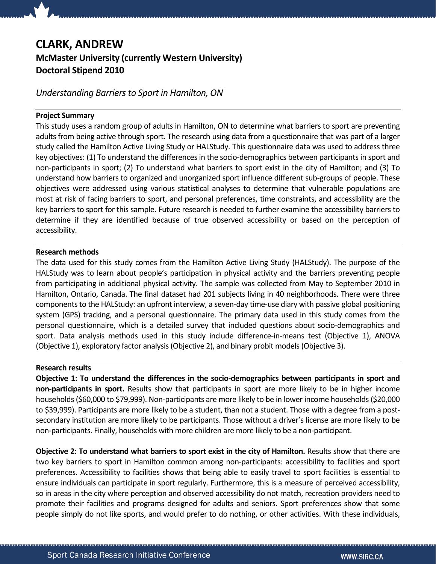# CLARK, ANDREW

## McMaster University (currently Western University) Doctoral Stipend 2010

Understanding Barriers to Sport in Hamilton, ON

#### Project Summary

This study uses a random group of adults in Hamilton, ON to determine what barriers to sport are preventing adults from being active through sport. The research using data from a questionnaire that was part of a larger study called the Hamilton Active Living Study or HALStudy. This questionnaire data was used to address three key objectives: (1) To understand the differences in the socio-demographics between participants in sport and non-participants in sport; (2) To understand what barriers to sport exist in the city of Hamilton; and (3) To understand how barriers to organized and unorganized sport influence different sub-groups of people. These objectives were addressed using various statistical analyses to determine that vulnerable populations are most at risk of facing barriers to sport, and personal preferences, time constraints, and accessibility are the key barriers to sport for this sample. Future research is needed to further examine the accessibility barriers to determine if they are identified because of true observed accessibility or based on the perception of accessibility.

### Research methods

The data used for this study comes from the Hamilton Active Living Study (HALStudy). The purpose of the HALStudy was to learn about people's participation in physical activity and the barriers preventing people from participating in additional physical activity. The sample was collected from May to September 2010 in Hamilton, Ontario, Canada. The final dataset had 201 subjects living in 40 neighborhoods. There were three components to the HALStudy: an upfront interview, a seven-day time-use diary with passive global positioning system (GPS) tracking, and a personal questionnaire. The primary data used in this study comes from the personal questionnaire, which is a detailed survey that included questions about socio-demographics and sport. Data analysis methods used in this study include difference-in-means test (Objective 1), ANOVA (Objective 1), exploratory factor analysis (Objective 2), and binary probit models (Objective 3).

### Research results

Objective 1: To understand the differences in the socio-demographics between participants in sport and non-participants in sport. Results show that participants in sport are more likely to be in higher income households (\$60,000 to \$79,999). Non-participants are more likely to be in lower income households (\$20,000 to \$39,999). Participants are more likely to be a student, than not a student. Those with a degree from a postsecondary institution are more likely to be participants. Those without a driver's license are more likely to be non-participants. Finally, households with more children are more likely to be a non-participant.

Objective 2: To understand what barriers to sport exist in the city of Hamilton. Results show that there are two key barriers to sport in Hamilton common among non-participants: accessibility to facilities and sport preferences. Accessibility to facilities shows that being able to easily travel to sport facilities is essential to ensure individuals can participate in sport regularly. Furthermore, this is a measure of perceived accessibility, so in areas in the city where perception and observed accessibility do not match, recreation providers need to promote their facilities and programs designed for adults and seniors. Sport preferences show that some people simply do not like sports, and would prefer to do nothing, or other activities. With these individuals,